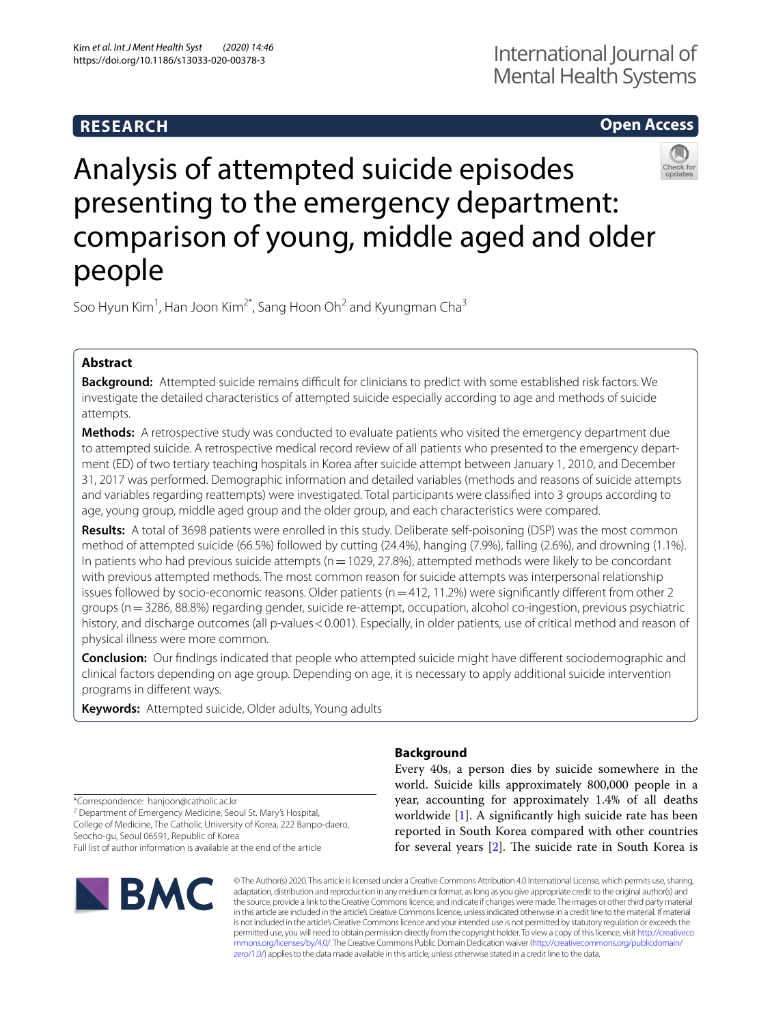## **RESEARCH**

## **Open Access**



# Analysis of attempted suicide episodes presenting to the emergency department: comparison of young, middle aged and older people

Soo Hyun Kim<sup>1</sup>, Han Joon Kim<sup>2\*</sup>, Sang Hoon Oh<sup>2</sup> and Kyungman Cha<sup>3</sup>

## **Abstract**

**Background:** Attempted suicide remains difficult for clinicians to predict with some established risk factors. We investigate the detailed characteristics of attempted suicide especially according to age and methods of suicide attempts.

**Methods:** A retrospective study was conducted to evaluate patients who visited the emergency department due to attempted suicide. A retrospective medical record review of all patients who presented to the emergency department (ED) of two tertiary teaching hospitals in Korea after suicide attempt between January 1, 2010, and December 31, 2017 was performed. Demographic information and detailed variables (methods and reasons of suicide attempts and variables regarding reattempts) were investigated. Total participants were classifed into 3 groups according to age, young group, middle aged group and the older group, and each characteristics were compared.

**Results:** A total of 3698 patients were enrolled in this study. Deliberate self-poisoning (DSP) was the most common method of attempted suicide (66.5%) followed by cutting (24.4%), hanging (7.9%), falling (2.6%), and drowning (1.1%). In patients who had previous suicide attempts (n=1029, 27.8%), attempted methods were likely to be concordant with previous attempted methods. The most common reason for suicide attempts was interpersonal relationship issues followed by socio-economic reasons. Older patients ( $n=412$ , 11.2%) were significantly different from other 2 groups (n=3286, 88.8%) regarding gender, suicide re-attempt, occupation, alcohol co-ingestion, previous psychiatric history, and discharge outcomes (all p-values < 0.001). Especially, in older patients, use of critical method and reason of physical illness were more common.

**Conclusion:** Our fndings indicated that people who attempted suicide might have diferent sociodemographic and clinical factors depending on age group. Depending on age, it is necessary to apply additional suicide intervention programs in diferent ways.

**Keywords:** Attempted suicide, Older adults, Young adults

\*Correspondence: hanjoon@catholic.ac.kr

<sup>2</sup> Department of Emergency Medicine, Seoul St. Mary's Hospital, College of Medicine, The Catholic University of Korea, 222 Banpo-daero,

Seocho-gu, Seoul 06591, Republic of Korea

Full list of author information is available at the end of the article



## **Background**

Every 40s, a person dies by suicide somewhere in the world. Suicide kills approximately 800,000 people in a year, accounting for approximately 1.4% of all deaths worldwide [\[1\]](#page-7-0). A signifcantly high suicide rate has been reported in South Korea compared with other countries for several years  $[2]$  $[2]$ . The suicide rate in South Korea is

© The Author(s) 2020. This article is licensed under a Creative Commons Attribution 4.0 International License, which permits use, sharing, adaptation, distribution and reproduction in any medium or format, as long as you give appropriate credit to the original author(s) and the source, provide a link to the Creative Commons licence, and indicate if changes were made. The images or other third party material in this article are included in the article's Creative Commons licence, unless indicated otherwise in a credit line to the material. If material is not included in the article's Creative Commons licence and your intended use is not permitted by statutory regulation or exceeds the permitted use, you will need to obtain permission directly from the copyright holder. To view a copy of this licence, visit [http://creativeco](http://creativecommons.org/licenses/by/4.0/) [mmons.org/licenses/by/4.0/.](http://creativecommons.org/licenses/by/4.0/) The Creative Commons Public Domain Dedication waiver ([http://creativecommons.org/publicdomain/](http://creativecommons.org/publicdomain/zero/1.0/) [zero/1.0/\)](http://creativecommons.org/publicdomain/zero/1.0/) applies to the data made available in this article, unless otherwise stated in a credit line to the data.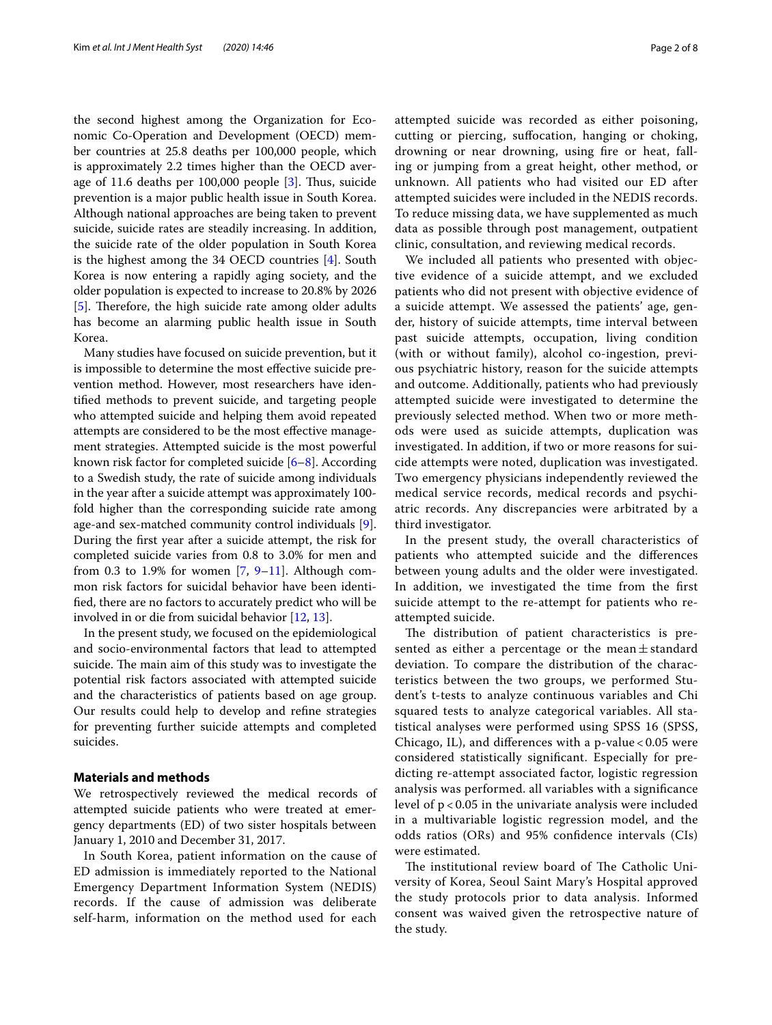the second highest among the Organization for Economic Co-Operation and Development (OECD) member countries at 25.8 deaths per 100,000 people, which is approximately 2.2 times higher than the OECD aver-age of 11.6 deaths per 100,000 people [\[3](#page-7-2)]. Thus, suicide prevention is a major public health issue in South Korea. Although national approaches are being taken to prevent suicide, suicide rates are steadily increasing. In addition, the suicide rate of the older population in South Korea is the highest among the 34 OECD countries [[4\]](#page-7-3). South Korea is now entering a rapidly aging society, and the older population is expected to increase to 20.8% by 2026 [[5\]](#page-7-4). Therefore, the high suicide rate among older adults has become an alarming public health issue in South Korea.

Many studies have focused on suicide prevention, but it is impossible to determine the most efective suicide prevention method. However, most researchers have identifed methods to prevent suicide, and targeting people who attempted suicide and helping them avoid repeated attempts are considered to be the most efective management strategies. Attempted suicide is the most powerful known risk factor for completed suicide  $[6-8]$  $[6-8]$  $[6-8]$ . According to a Swedish study, the rate of suicide among individuals in the year after a suicide attempt was approximately 100 fold higher than the corresponding suicide rate among age-and sex-matched community control individuals [\[9](#page-7-7)]. During the frst year after a suicide attempt, the risk for completed suicide varies from 0.8 to 3.0% for men and from 0.3 to 1.[9](#page-7-7)% for women  $[7, 9-11]$  $[7, 9-11]$ . Although common risk factors for suicidal behavior have been identifed, there are no factors to accurately predict who will be involved in or die from suicidal behavior [[12,](#page-7-10) [13](#page-7-11)].

In the present study, we focused on the epidemiological and socio-environmental factors that lead to attempted suicide. The main aim of this study was to investigate the potential risk factors associated with attempted suicide and the characteristics of patients based on age group. Our results could help to develop and refne strategies for preventing further suicide attempts and completed suicides.

#### **Materials and methods**

We retrospectively reviewed the medical records of attempted suicide patients who were treated at emergency departments (ED) of two sister hospitals between January 1, 2010 and December 31, 2017.

In South Korea, patient information on the cause of ED admission is immediately reported to the National Emergency Department Information System (NEDIS) records. If the cause of admission was deliberate self-harm, information on the method used for each attempted suicide was recorded as either poisoning, cutting or piercing, sufocation, hanging or choking, drowning or near drowning, using fre or heat, falling or jumping from a great height, other method, or unknown. All patients who had visited our ED after attempted suicides were included in the NEDIS records. To reduce missing data, we have supplemented as much data as possible through post management, outpatient clinic, consultation, and reviewing medical records.

We included all patients who presented with objective evidence of a suicide attempt, and we excluded patients who did not present with objective evidence of a suicide attempt. We assessed the patients' age, gender, history of suicide attempts, time interval between past suicide attempts, occupation, living condition (with or without family), alcohol co-ingestion, previous psychiatric history, reason for the suicide attempts and outcome. Additionally, patients who had previously attempted suicide were investigated to determine the previously selected method. When two or more methods were used as suicide attempts, duplication was investigated. In addition, if two or more reasons for suicide attempts were noted, duplication was investigated. Two emergency physicians independently reviewed the medical service records, medical records and psychiatric records. Any discrepancies were arbitrated by a third investigator.

In the present study, the overall characteristics of patients who attempted suicide and the diferences between young adults and the older were investigated. In addition, we investigated the time from the frst suicide attempt to the re-attempt for patients who reattempted suicide.

The distribution of patient characteristics is presented as either a percentage or the mean $\pm$  standard deviation. To compare the distribution of the characteristics between the two groups, we performed Student's t-tests to analyze continuous variables and Chi squared tests to analyze categorical variables. All statistical analyses were performed using SPSS 16 (SPSS, Chicago, IL), and diferences with a p-value < 0.05 were considered statistically signifcant. Especially for predicting re-attempt associated factor, logistic regression analysis was performed. all variables with a signifcance level of p < 0.05 in the univariate analysis were included in a multivariable logistic regression model, and the odds ratios (ORs) and 95% confdence intervals (CIs) were estimated.

The institutional review board of The Catholic University of Korea, Seoul Saint Mary's Hospital approved the study protocols prior to data analysis. Informed consent was waived given the retrospective nature of the study.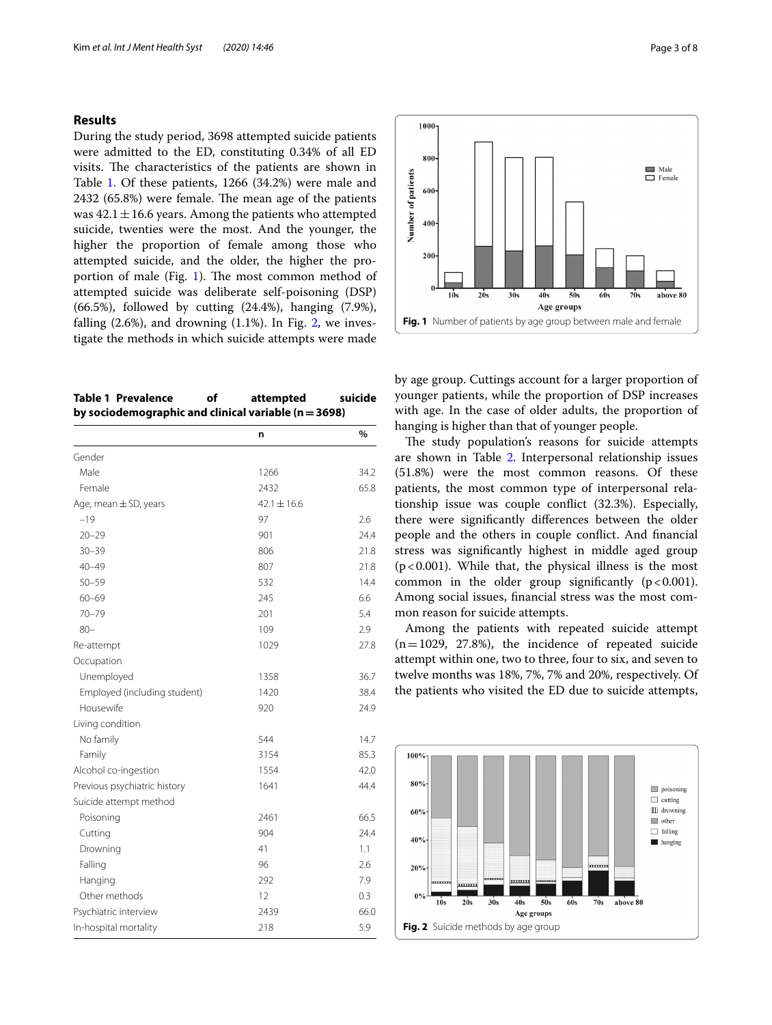### **Results**

During the study period, 3698 attempted suicide patients were admitted to the ED, constituting 0.34% of all ED visits. The characteristics of the patients are shown in Table [1](#page-2-0). Of these patients, 1266 (34.2%) were male and  $2432$  (65.8%) were female. The mean age of the patients was  $42.1 \pm 16.6$  years. Among the patients who attempted suicide, twenties were the most. And the younger, the higher the proportion of female among those who attempted suicide, and the older, the higher the pro-portion of male (Fig. [1\)](#page-2-1). The most common method of attempted suicide was deliberate self-poisoning (DSP) (66.5%), followed by cutting (24.4%), hanging (7.9%), falling  $(2.6\%)$  $(2.6\%)$  $(2.6\%)$ , and drowning  $(1.1\%)$ . In Fig. 2, we investigate the methods in which suicide attempts were made

<span id="page-2-0"></span>

| Table 1 Prevalence                                       | οf | attempted | suicide |
|----------------------------------------------------------|----|-----------|---------|
| by sociodemographic and clinical variable ( $n = 3698$ ) |    |           |         |

|                              | n               | %    |
|------------------------------|-----------------|------|
| Gender                       |                 |      |
| Male                         | 1266            | 34.2 |
| Female                       | 2432            | 65.8 |
| Age, mean $\pm$ SD, years    | $42.1 \pm 16.6$ |      |
| $-19$                        | 97              | 2.6  |
| $20 - 29$                    | 901             | 24.4 |
| $30 - 39$                    | 806             | 21.8 |
| $40 - 49$                    | 807             | 21.8 |
| $50 - 59$                    | 532             | 14.4 |
| $60 - 69$                    | 245             | 6.6  |
| $70 - 79$                    | 201             | 5.4  |
| $80 -$                       | 109             | 2.9  |
| Re-attempt                   | 1029            | 27.8 |
| Occupation                   |                 |      |
| Unemployed                   | 1358            | 36.7 |
| Employed (including student) | 1420            | 38.4 |
| Housewife                    | 920             | 24.9 |
| Living condition             |                 |      |
| No family                    | 544             | 14.7 |
| Family                       | 3154            | 85.3 |
| Alcohol co-ingestion         | 1554            | 42.0 |
| Previous psychiatric history | 1641            | 44.4 |
| Suicide attempt method       |                 |      |
| Poisoning                    | 2461            | 66.5 |
| Cutting                      | 904             | 24.4 |
| Drowning                     | 41              | 1.1  |
| Falling                      | 96              | 2.6  |
| Hanging                      | 292             | 7.9  |
| Other methods                | 12              | 0.3  |
| Psychiatric interview        | 2439            | 66.0 |
| In-hospital mortality        | 218             | 5.9  |



by age group. Cuttings account for a larger proportion of younger patients, while the proportion of DSP increases with age. In the case of older adults, the proportion of hanging is higher than that of younger people.

<span id="page-2-1"></span>**Fig. 1** Number of patients by age group between male and female

Age groups

The study population's reasons for suicide attempts are shown in Table [2](#page-3-0). Interpersonal relationship issues (51.8%) were the most common reasons. Of these patients, the most common type of interpersonal relationship issue was couple confict (32.3%). Especially, there were signifcantly diferences between the older people and the others in couple confict. And fnancial stress was signifcantly highest in middle aged group  $(p<0.001)$ . While that, the physical illness is the most common in the older group significantly  $(p < 0.001)$ . Among social issues, fnancial stress was the most common reason for suicide attempts.

Among the patients with repeated suicide attempt  $(n=1029, 27.8%)$ , the incidence of repeated suicide attempt within one, two to three, four to six, and seven to twelve months was 18%, 7%, 7% and 20%, respectively. Of the patients who visited the ED due to suicide attempts,

<span id="page-2-2"></span>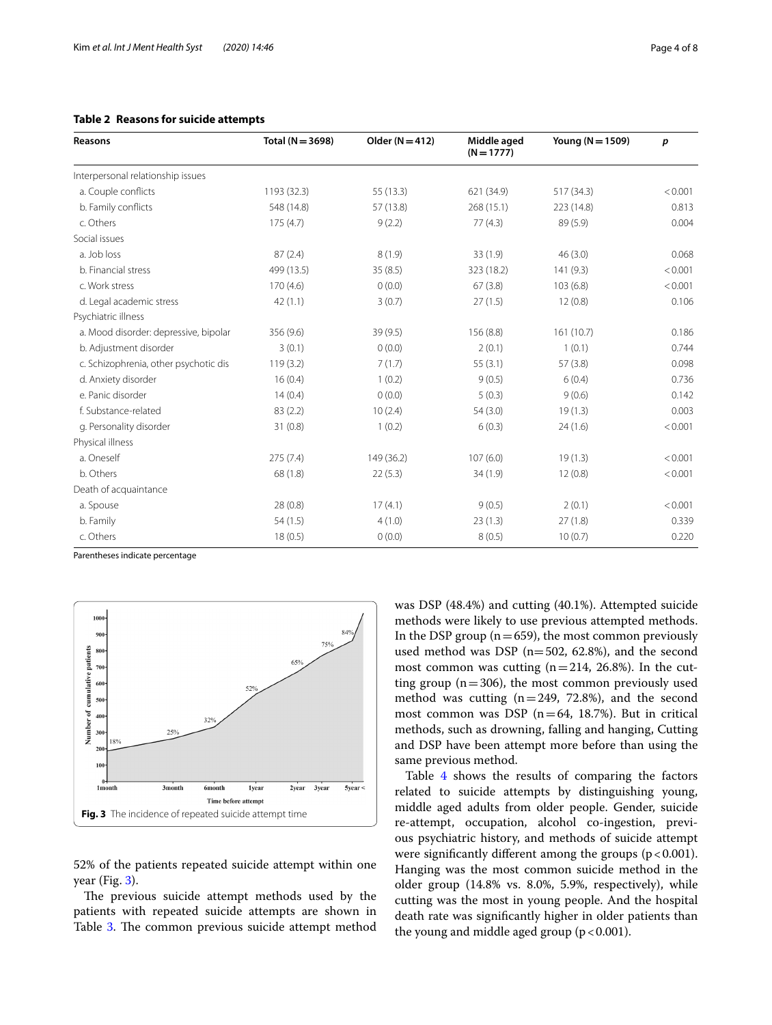| <b>Reasons</b>                        | Total ( $N = 3698$ ) | Older ( $N = 412$ ) | Middle aged<br>$(N = 1777)$ | Young ( $N = 1509$ ) | р       |
|---------------------------------------|----------------------|---------------------|-----------------------------|----------------------|---------|
| Interpersonal relationship issues     |                      |                     |                             |                      |         |
| a. Couple conflicts                   | 1193 (32.3)          | 55 (13.3)           | 621 (34.9)                  | 517 (34.3)           | < 0.001 |
| b. Family conflicts                   | 548 (14.8)           | 57 (13.8)           | 268 (15.1)                  | 223 (14.8)           | 0.813   |
| c. Others                             | 175(4.7)             | 9(2.2)              | 77(4.3)                     | 89 (5.9)             | 0.004   |
| Social issues                         |                      |                     |                             |                      |         |
| a. Job loss                           | 87(2.4)              | 8(1.9)              | 33(1.9)                     | 46(3.0)              | 0.068   |
| b. Financial stress                   | 499 (13.5)           | 35(8.5)             | 323 (18.2)                  | 141(9.3)             | < 0.001 |
| c. Work stress                        | 170(4.6)             | 0(0.0)              | 67(3.8)                     | 103(6.8)             | < 0.001 |
| d. Legal academic stress              | 42(1.1)              | 3(0.7)              | 27(1.5)                     | 12(0.8)              | 0.106   |
| Psychiatric illness                   |                      |                     |                             |                      |         |
| a. Mood disorder: depressive, bipolar | 356 (9.6)            | 39(9.5)             | 156 (8.8)                   | 161(10.7)            | 0.186   |
| b. Adjustment disorder                | 3(0.1)               | 0(0.0)              | 2(0.1)                      | 1(0.1)               | 0.744   |
| c. Schizophrenia, other psychotic dis | 119(3.2)             | 7(1.7)              | 55(3.1)                     | 57(3.8)              | 0.098   |
| d. Anxiety disorder                   | 16(0.4)              | 1(0.2)              | 9(0.5)                      | 6(0.4)               | 0.736   |
| e. Panic disorder                     | 14(0.4)              | 0(0.0)              | 5(0.3)                      | 9(0.6)               | 0.142   |
| f. Substance-related                  | 83(2.2)              | 10(2.4)             | 54(3.0)                     | 19(1.3)              | 0.003   |
| g. Personality disorder               | 31(0.8)              | 1(0.2)              | 6(0.3)                      | 24(1.6)              | < 0.001 |
| Physical illness                      |                      |                     |                             |                      |         |
| a. Oneself                            | 275(7.4)             | 149 (36.2)          | 107(6.0)                    | 19(1.3)              | < 0.001 |
| b. Others                             | 68(1.8)              | 22(5.3)             | 34(1.9)                     | 12(0.8)              | < 0.001 |
| Death of acquaintance                 |                      |                     |                             |                      |         |
| a. Spouse                             | 28(0.8)              | 17(4.1)             | 9(0.5)                      | 2(0.1)               | < 0.001 |
| b. Family                             | 54(1.5)              | 4(1.0)              | 23(1.3)                     | 27(1.8)              | 0.339   |
| c. Others                             | 18(0.5)              | 0(0.0)              | 8(0.5)                      | 10(0.7)              | 0.220   |

## <span id="page-3-0"></span>**Table 2 Reasons for suicide attempts**

Parentheses indicate percentage



<span id="page-3-1"></span>52% of the patients repeated suicide attempt within one year (Fig. [3](#page-3-1)).

The previous suicide attempt methods used by the patients with repeated suicide attempts are shown in Table [3](#page-4-0). The common previous suicide attempt method was DSP (48.4%) and cutting (40.1%). Attempted suicide methods were likely to use previous attempted methods. In the DSP group ( $n=659$ ), the most common previously used method was DSP ( $n=502$ , 62.8%), and the second most common was cutting  $(n=214, 26.8\%)$ . In the cutting group ( $n=306$ ), the most common previously used method was cutting  $(n=249, 72.8%)$ , and the second most common was DSP ( $n=64$ , 18.7%). But in critical methods, such as drowning, falling and hanging, Cutting and DSP have been attempt more before than using the same previous method.

Table [4](#page-4-1) shows the results of comparing the factors related to suicide attempts by distinguishing young, middle aged adults from older people. Gender, suicide re-attempt, occupation, alcohol co-ingestion, previous psychiatric history, and methods of suicide attempt were significantly different among the groups  $(p < 0.001)$ . Hanging was the most common suicide method in the older group (14.8% vs. 8.0%, 5.9%, respectively), while cutting was the most in young people. And the hospital death rate was signifcantly higher in older patients than the young and middle aged group  $(p < 0.001)$ .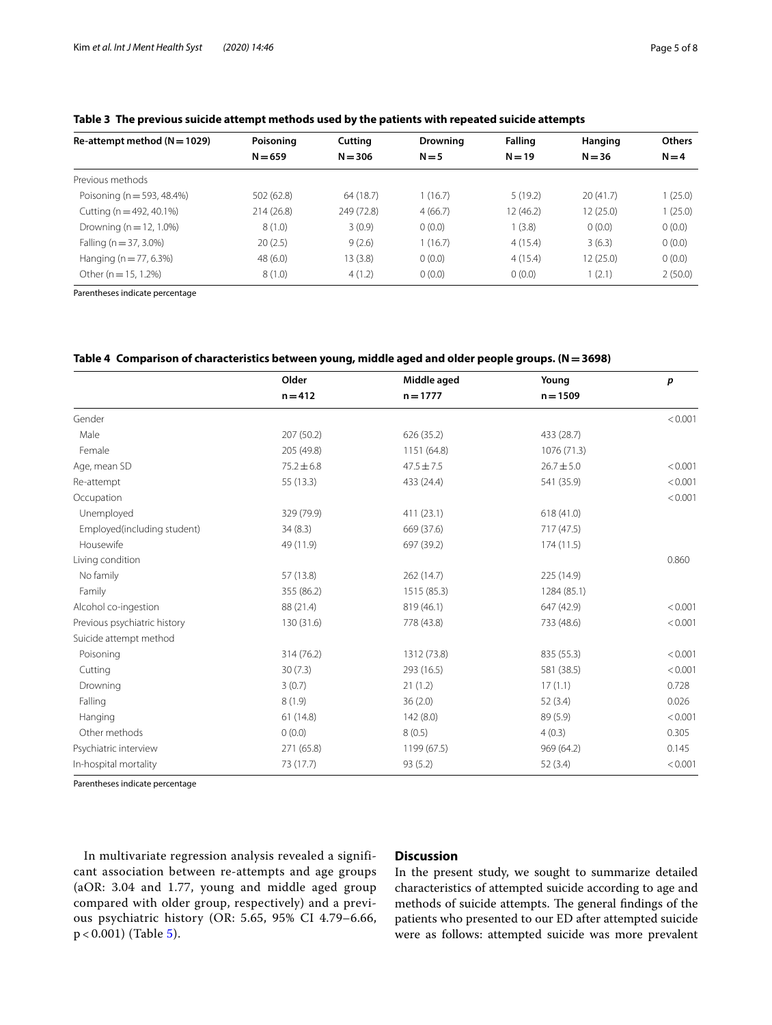| Re-attempt method ( $N = 1029$ ) | Poisoning  | Cutting    | <b>Drowning</b> | <b>Falling</b> | Hanging   | <b>Others</b> |
|----------------------------------|------------|------------|-----------------|----------------|-----------|---------------|
|                                  | $N = 659$  | $N = 306$  | $N = 5$         | $N = 19$       | $N = 36$  | $N = 4$       |
| Previous methods                 |            |            |                 |                |           |               |
| Poisoning (n = 593, 48.4%)       | 502 (62.8) | 64 (18.7)  | 1(16.7)         | 5(19.2)        | 20(41.7)  | 1(25.0)       |
| Cutting ( $n = 492, 40.1\%$ )    | 214(26.8)  | 249 (72.8) | 4(66.7)         | 12 (46.2)      | 12 (25.0) | 1(25.0)       |
| Drowning ( $n = 12, 1.0\%$ )     | 8(1.0)     | 3(0.9)     | 0(0.0)          | (3.8)          | 0(0.0)    | 0(0.0)        |
| Falling ( $n = 37, 3.0\%$ )      | 20(2.5)    | 9(2.6)     | 1(16.7)         | 4(15.4)        | 3(6.3)    | 0(0.0)        |
| Hanging ( $n = 77, 6.3\%$ )      | 48(6.0)    | 13(3.8)    | 0(0.0)          | 4(15.4)        | 12(25.0)  | 0(0.0)        |
| Other ( $n = 15, 1.2\%$ )        | 8(1.0)     | 4(1.2)     | 0(0.0)          | 0(0.0)         | 1(2.1)    | 2(50.0)       |

<span id="page-4-0"></span>**Table 3 The previous suicide attempt methods used by the patients with repeated suicide attempts**

Parentheses indicate percentage

#### <span id="page-4-1"></span>**Table 4 Comparison of characteristics between young, middle aged and older people groups. (N=3698)**

|                              | Older          | Middle aged    | Young          | $\boldsymbol{p}$ |
|------------------------------|----------------|----------------|----------------|------------------|
|                              | $n = 412$      | $n = 1777$     | $n = 1509$     |                  |
| Gender                       |                |                |                | < 0.001          |
| Male                         | 207 (50.2)     | 626 (35.2)     | 433 (28.7)     |                  |
| Female                       | 205 (49.8)     | 1151 (64.8)    | 1076 (71.3)    |                  |
| Age, mean SD                 | $75.2 \pm 6.8$ | $47.5 \pm 7.5$ | $26.7 \pm 5.0$ | < 0.001          |
| Re-attempt                   | 55 (13.3)      | 433 (24.4)     | 541 (35.9)     | < 0.001          |
| Occupation                   |                |                |                | < 0.001          |
| Unemployed                   | 329 (79.9)     | 411 (23.1)     | 618(41.0)      |                  |
| Employed(including student)  | 34(8.3)        | 669 (37.6)     | 717 (47.5)     |                  |
| Housewife                    | 49 (11.9)      | 697 (39.2)     | 174(11.5)      |                  |
| Living condition             |                |                |                | 0.860            |
| No family                    | 57 (13.8)      | 262 (14.7)     | 225 (14.9)     |                  |
| Family                       | 355 (86.2)     | 1515 (85.3)    | 1284 (85.1)    |                  |
| Alcohol co-ingestion         | 88 (21.4)      | 819 (46.1)     | 647 (42.9)     | < 0.001          |
| Previous psychiatric history | 130 (31.6)     | 778 (43.8)     | 733 (48.6)     | < 0.001          |
| Suicide attempt method       |                |                |                |                  |
| Poisoning                    | 314 (76.2)     | 1312 (73.8)    | 835 (55.3)     | < 0.001          |
| Cutting                      | 30(7.3)        | 293 (16.5)     | 581 (38.5)     | < 0.001          |
| Drowning                     | 3(0.7)         | 21(1.2)        | 17(1.1)        | 0.728            |
| Falling                      | 8(1.9)         | 36(2.0)        | 52(3.4)        | 0.026            |
| Hanging                      | 61(14.8)       | 142(8.0)       | 89 (5.9)       | < 0.001          |
| Other methods                | 0(0.0)         | 8(0.5)         | 4(0.3)         | 0.305            |
| Psychiatric interview        | 271 (65.8)     | 1199 (67.5)    | 969 (64.2)     | 0.145            |
| In-hospital mortality        | 73 (17.7)      | 93 (5.2)       | 52(3.4)        | < 0.001          |

Parentheses indicate percentage

In multivariate regression analysis revealed a significant association between re-attempts and age groups (aOR: 3.04 and 1.77, young and middle aged group compared with older group, respectively) and a previous psychiatric history (OR: 5.65, 95% CI 4.79–6.66, p < 0.001) (Table [5\)](#page-5-0).

## **Discussion**

In the present study, we sought to summarize detailed characteristics of attempted suicide according to age and methods of suicide attempts. The general findings of the patients who presented to our ED after attempted suicide were as follows: attempted suicide was more prevalent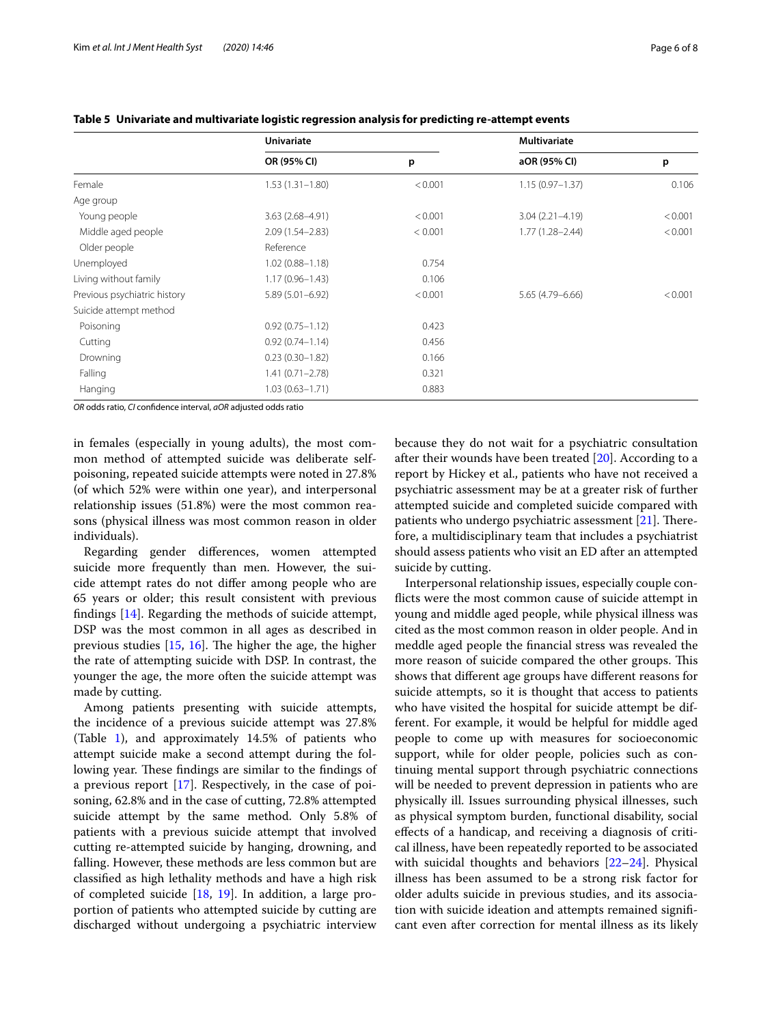|                              | Univariate          |         | <b>Multivariate</b> |         |  |
|------------------------------|---------------------|---------|---------------------|---------|--|
|                              | OR (95% CI)         | p       | aOR (95% CI)        | p       |  |
| Female                       | $1.53(1.31 - 1.80)$ | < 0.001 | $1.15(0.97 - 1.37)$ | 0.106   |  |
| Age group                    |                     |         |                     |         |  |
| Young people                 | $3.63(2.68 - 4.91)$ | < 0.001 | $3.04(2.21 - 4.19)$ | < 0.001 |  |
| Middle aged people           | $2.09(1.54 - 2.83)$ | < 0.001 | $1.77(1.28 - 2.44)$ | < 0.001 |  |
| Older people                 | Reference           |         |                     |         |  |
| Unemployed                   | $1.02(0.88 - 1.18)$ | 0.754   |                     |         |  |
| Living without family        | $1.17(0.96 - 1.43)$ | 0.106   |                     |         |  |
| Previous psychiatric history | $5.89(5.01 - 6.92)$ | < 0.001 | 5.65 (4.79 - 6.66)  | < 0.001 |  |
| Suicide attempt method       |                     |         |                     |         |  |
| Poisoning                    | $0.92(0.75 - 1.12)$ | 0.423   |                     |         |  |
| Cutting                      | $0.92(0.74 - 1.14)$ | 0.456   |                     |         |  |
| Drowning                     | $0.23(0.30 - 1.82)$ | 0.166   |                     |         |  |
| Falling                      | $1.41(0.71 - 2.78)$ | 0.321   |                     |         |  |
| Hanging                      | $1.03(0.63 - 1.71)$ | 0.883   |                     |         |  |

<span id="page-5-0"></span>**Table 5 Univariate and multivariate logistic regression analysis for predicting re-attempt events**

*OR* odds ratio, *CI* confdence interval, *aOR* adjusted odds ratio

in females (especially in young adults), the most common method of attempted suicide was deliberate selfpoisoning, repeated suicide attempts were noted in 27.8% (of which 52% were within one year), and interpersonal relationship issues (51.8%) were the most common reasons (physical illness was most common reason in older individuals).

Regarding gender diferences, women attempted suicide more frequently than men. However, the suicide attempt rates do not difer among people who are 65 years or older; this result consistent with previous fndings [[14\]](#page-7-12). Regarding the methods of suicide attempt, DSP was the most common in all ages as described in previous studies  $[15, 16]$  $[15, 16]$  $[15, 16]$  $[15, 16]$ . The higher the age, the higher the rate of attempting suicide with DSP. In contrast, the younger the age, the more often the suicide attempt was made by cutting.

Among patients presenting with suicide attempts, the incidence of a previous suicide attempt was 27.8% (Table [1](#page-2-0)), and approximately 14.5% of patients who attempt suicide make a second attempt during the following year. These findings are similar to the findings of a previous report [[17\]](#page-7-15). Respectively, in the case of poisoning, 62.8% and in the case of cutting, 72.8% attempted suicide attempt by the same method. Only 5.8% of patients with a previous suicide attempt that involved cutting re-attempted suicide by hanging, drowning, and falling. However, these methods are less common but are classifed as high lethality methods and have a high risk of completed suicide [[18,](#page-7-16) [19\]](#page-7-17). In addition, a large proportion of patients who attempted suicide by cutting are discharged without undergoing a psychiatric interview because they do not wait for a psychiatric consultation after their wounds have been treated [[20](#page-7-18)]. According to a report by Hickey et al., patients who have not received a psychiatric assessment may be at a greater risk of further attempted suicide and completed suicide compared with patients who undergo psychiatric assessment  $[21]$  $[21]$ . Therefore, a multidisciplinary team that includes a psychiatrist should assess patients who visit an ED after an attempted suicide by cutting.

Interpersonal relationship issues, especially couple conficts were the most common cause of suicide attempt in young and middle aged people, while physical illness was cited as the most common reason in older people. And in meddle aged people the fnancial stress was revealed the more reason of suicide compared the other groups. This shows that diferent age groups have diferent reasons for suicide attempts, so it is thought that access to patients who have visited the hospital for suicide attempt be different. For example, it would be helpful for middle aged people to come up with measures for socioeconomic support, while for older people, policies such as continuing mental support through psychiatric connections will be needed to prevent depression in patients who are physically ill. Issues surrounding physical illnesses, such as physical symptom burden, functional disability, social efects of a handicap, and receiving a diagnosis of critical illness, have been repeatedly reported to be associated with suicidal thoughts and behaviors [[22–](#page-7-20)[24\]](#page-7-21). Physical illness has been assumed to be a strong risk factor for older adults suicide in previous studies, and its association with suicide ideation and attempts remained signifcant even after correction for mental illness as its likely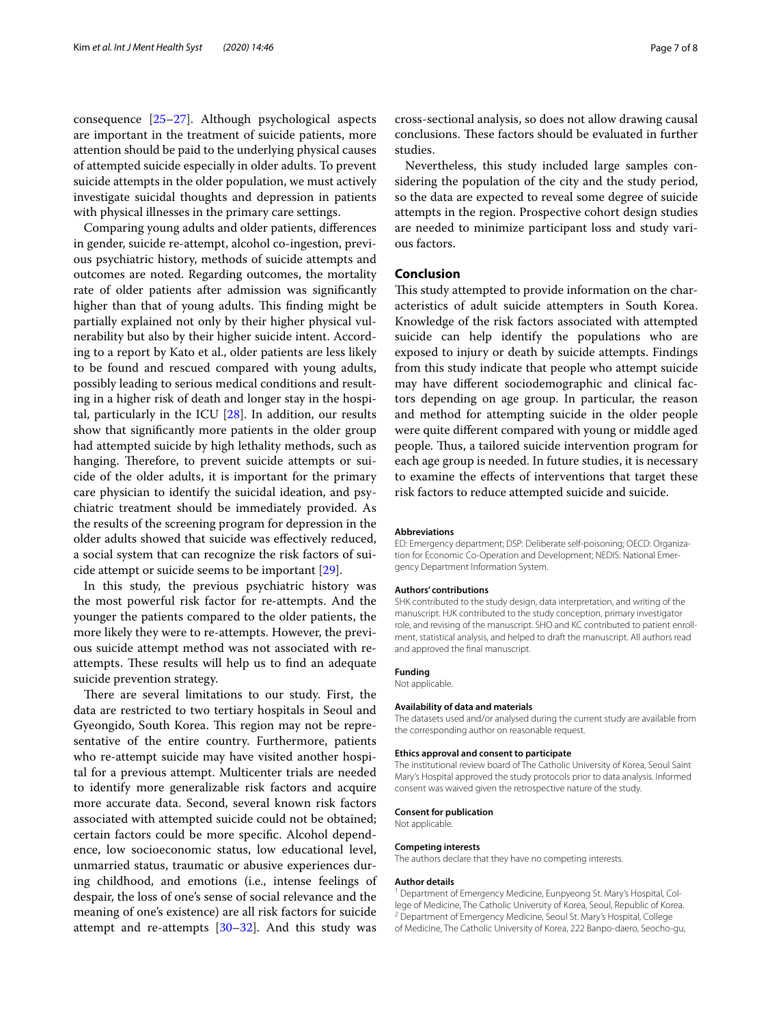consequence [\[25](#page-7-22)[–27\]](#page-7-23). Although psychological aspects are important in the treatment of suicide patients, more attention should be paid to the underlying physical causes of attempted suicide especially in older adults. To prevent suicide attempts in the older population, we must actively investigate suicidal thoughts and depression in patients with physical illnesses in the primary care settings.

Comparing young adults and older patients, diferences in gender, suicide re-attempt, alcohol co-ingestion, previous psychiatric history, methods of suicide attempts and outcomes are noted. Regarding outcomes, the mortality rate of older patients after admission was signifcantly higher than that of young adults. This finding might be partially explained not only by their higher physical vulnerability but also by their higher suicide intent. According to a report by Kato et al., older patients are less likely to be found and rescued compared with young adults, possibly leading to serious medical conditions and resulting in a higher risk of death and longer stay in the hospital, particularly in the ICU  $[28]$  $[28]$ . In addition, our results show that signifcantly more patients in the older group had attempted suicide by high lethality methods, such as hanging. Therefore, to prevent suicide attempts or suicide of the older adults, it is important for the primary care physician to identify the suicidal ideation, and psychiatric treatment should be immediately provided. As the results of the screening program for depression in the older adults showed that suicide was efectively reduced, a social system that can recognize the risk factors of suicide attempt or suicide seems to be important [\[29\]](#page-7-25).

In this study, the previous psychiatric history was the most powerful risk factor for re-attempts. And the younger the patients compared to the older patients, the more likely they were to re-attempts. However, the previous suicide attempt method was not associated with reattempts. These results will help us to find an adequate suicide prevention strategy.

There are several limitations to our study. First, the data are restricted to two tertiary hospitals in Seoul and Gyeongido, South Korea. This region may not be representative of the entire country. Furthermore, patients who re-attempt suicide may have visited another hospital for a previous attempt. Multicenter trials are needed to identify more generalizable risk factors and acquire more accurate data. Second, several known risk factors associated with attempted suicide could not be obtained; certain factors could be more specifc. Alcohol dependence, low socioeconomic status, low educational level, unmarried status, traumatic or abusive experiences during childhood, and emotions (i.e., intense feelings of despair, the loss of one's sense of social relevance and the meaning of one's existence) are all risk factors for suicide attempt and re-attempts  $[30-32]$  $[30-32]$ . And this study was

cross-sectional analysis, so does not allow drawing causal conclusions. These factors should be evaluated in further studies.

Nevertheless, this study included large samples considering the population of the city and the study period, so the data are expected to reveal some degree of suicide attempts in the region. Prospective cohort design studies are needed to minimize participant loss and study various factors.

#### **Conclusion**

This study attempted to provide information on the characteristics of adult suicide attempters in South Korea. Knowledge of the risk factors associated with attempted suicide can help identify the populations who are exposed to injury or death by suicide attempts. Findings from this study indicate that people who attempt suicide may have diferent sociodemographic and clinical factors depending on age group. In particular, the reason and method for attempting suicide in the older people were quite diferent compared with young or middle aged people. Thus, a tailored suicide intervention program for each age group is needed. In future studies, it is necessary to examine the efects of interventions that target these risk factors to reduce attempted suicide and suicide.

#### **Abbreviations**

ED: Emergency department; DSP: Deliberate self-poisoning; OECD: Organization for Economic Co-Operation and Development; NEDIS: National Emergency Department Information System.

#### **Authors' contributions**

SHK contributed to the study design, data interpretation, and writing of the manuscript. HJK contributed to the study conception, primary investigator role, and revising of the manuscript. SHO and KC contributed to patient enrollment, statistical analysis, and helped to draft the manuscript. All authors read and approved the fnal manuscript.

#### **Funding**

Not applicable.

#### **Availability of data and materials**

The datasets used and/or analysed during the current study are available from the corresponding author on reasonable request.

#### **Ethics approval and consent to participate**

The institutional review board of The Catholic University of Korea, Seoul Saint Mary's Hospital approved the study protocols prior to data analysis. Informed consent was waived given the retrospective nature of the study.

#### **Consent for publication**

Not applicable.

#### **Competing interests**

The authors declare that they have no competing interests.

#### **Author details**

<sup>1</sup> Department of Emergency Medicine, Eunpyeong St. Mary's Hospital, College of Medicine, The Catholic University of Korea, Seoul, Republic of Korea.<br><sup>2</sup> Department of Emergency Medicine, Seoul St. Mary's Hospital, College of Medicine, The Catholic University of Korea, 222 Banpo-daero, Seocho-gu,